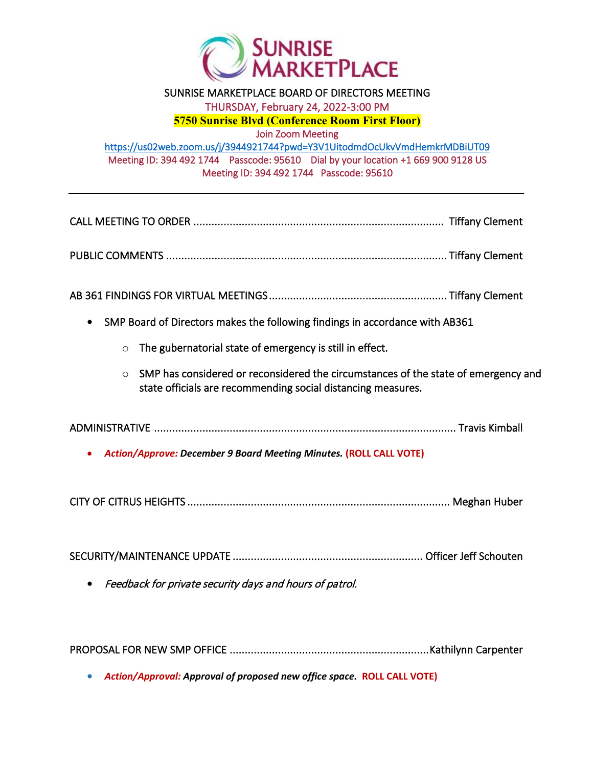

## SUNRISE MARKETPLACE BOARD OF DIRECTORS MEETING THURSDAY, February 24, 2022-3:00 PM **5750 Sunrise Blvd (Conference Room First Floor)** Join Zoom Meeting <https://us02web.zoom.us/j/3944921744?pwd=Y3V1UitodmdOcUkvVmdHemkrMDBiUT09> Meeting ID: 394 492 1744 Passcode: 95610 Dial by your location +1 669 900 9128 US Meeting ID: 394 492 1744 Passcode: 95610

| SMP has considered or reconsidered the circumstances of the state of emergency and |
|------------------------------------------------------------------------------------|
|                                                                                    |
|                                                                                    |
|                                                                                    |
|                                                                                    |
|                                                                                    |
|                                                                                    |

PROPOSAL FOR NEW SMP OFFICE .................................................................. Kathilynn Carpenter

• *Action/Approval: Approval of proposed new office space.* **ROLL CALL VOTE)**